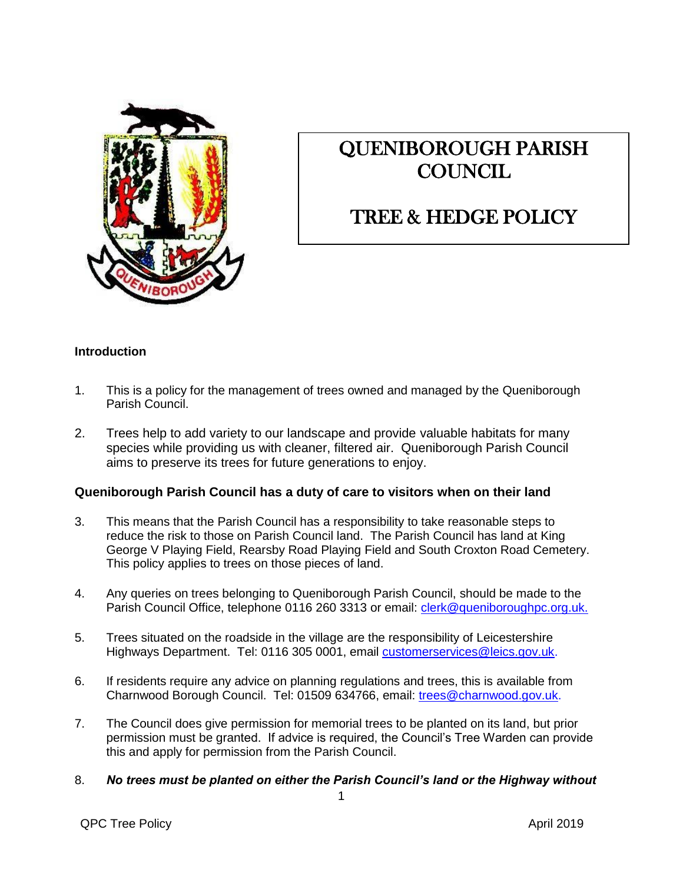

# QUENIBOROUGH PARISH **COUNCIL**

# TREE & HEDGE POLICY

## **Introduction**

- 1. This is a policy for the management of trees owned and managed by the Queniborough Parish Council.
- 2. Trees help to add variety to our landscape and provide valuable habitats for many species while providing us with cleaner, filtered air. Queniborough Parish Council aims to preserve its trees for future generations to enjoy.

### **Queniborough Parish Council has a duty of care to visitors when on their land**

- 3. This means that the Parish Council has a responsibility to take reasonable steps to reduce the risk to those on Parish Council land. The Parish Council has land at King George V Playing Field, Rearsby Road Playing Field and South Croxton Road Cemetery. This policy applies to trees on those pieces of land.
- 4. Any queries on trees belonging to Queniborough Parish Council, should be made to the Parish Council Office, telephone 0116 260 3313 or email: [clerk@queniboroughpc.org.uk.](mailto:clerk@queniboroughpc.org.uk.)
- 5. Trees situated on the roadside in the village are the responsibility of Leicestershire Highways Department. Tel: [0116](mailto:hampshirehighways.north@hants.gov.uk) 305 0001, email [customerservices@leics.gov.uk.](mailto:customerservices@leics.gov.uk)
- 6. If residents require any advice on planning regulations and trees, this is available from Charnwood Borough Council. Tel: 01509 634766, email: [trees@charnwood.gov.uk.](mailto:trees@charnwood.gov.uk)
- 7. The Council does give permission for memorial trees to be planted on its land, but prior permission must be granted. If advice is required, the Council's Tree Warden can provide this and apply for permission from the Parish Council.
- 8. *No trees must be planted on either the Parish Council's land or the Highway without*

QPC Tree Policy and the Contract of the Contract of the Contract of April 2019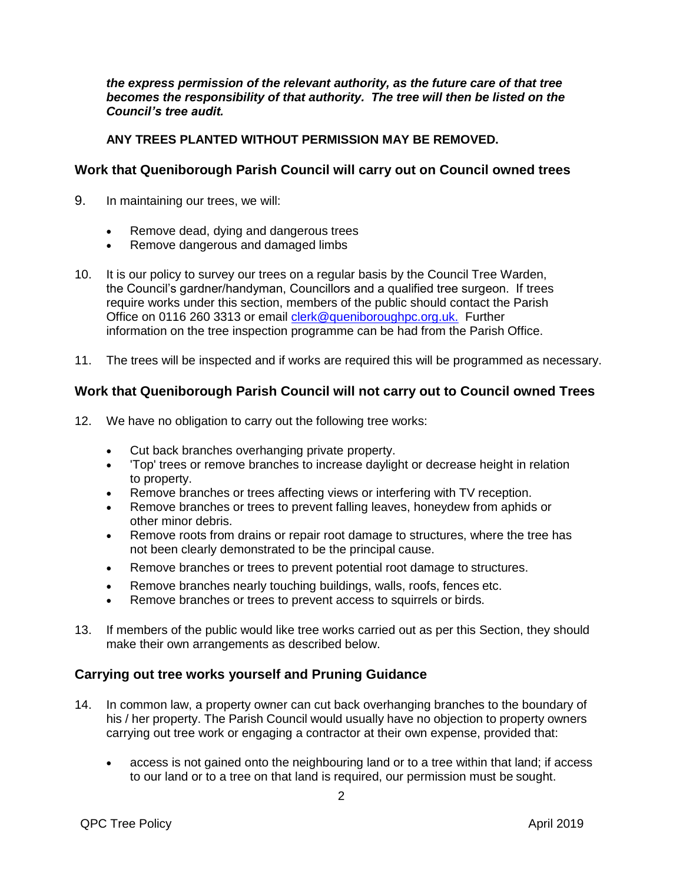*the express permission of the relevant authority, as the future care of that tree*  becomes the responsibility of that authority. The tree will then be listed on the *Council's tree audit.*

#### **ANY TREES PLANTED WITHOUT PERMISSION MAY BE REMOVED.**

### **Work that Queniborough Parish Council will carry out on Council owned trees**

- 9. In maintaining our trees, we will:
	- Remove dead, dying and dangerous trees
	- Remove dangerous and damaged limbs
- 10. It is our policy to survey our trees on a regular basis by the Council Tree Warden, the Council's gardner/handyman, Councillors and a qualified tree surgeon. If trees require works under this section, members of the public should contact the Parish Office on 0116 260 3313 or email [clerk@queniboroughpc.org.uk.](mailto:clerk@queniboroughpc.org.uk.) Further information on the tree inspection programme can be had from the Parish Office.
- 11. The trees will be inspected and if works are required this will be programmed as necessary.

## **Work that Queniborough Parish Council will not carry out to Council owned Trees**

- 12. We have no obligation to carry out the following tree works:
	- Cut back branches overhanging private property.
	- 'Top' trees or remove branches to increase daylight or decrease height in relation to property.
	- Remove branches or trees affecting views or interfering with TV reception.
	- Remove branches or trees to prevent falling leaves, honeydew from aphids or other minor debris.
	- Remove roots from drains or repair root damage to structures, where the tree has not been clearly demonstrated to be the principal cause.
	- Remove branches or trees to prevent potential root damage to structures.
	- Remove branches nearly touching buildings, walls, roofs, fences etc.
	- Remove branches or trees to prevent access to squirrels or birds.
- 13. If members of the public would like tree works carried out as per this Section, they should make their own arrangements as described below.

## **Carrying out tree works yourself and Pruning Guidance**

- 14. In common law, a property owner can cut back overhanging branches to the boundary of his / her property. The Parish Council would usually have no objection to property owners carrying out tree work or engaging a contractor at their own expense, provided that:
	- access is not gained onto the neighbouring land or to a tree within that land; if access to our land or to a tree on that land is required, our permission must be sought.